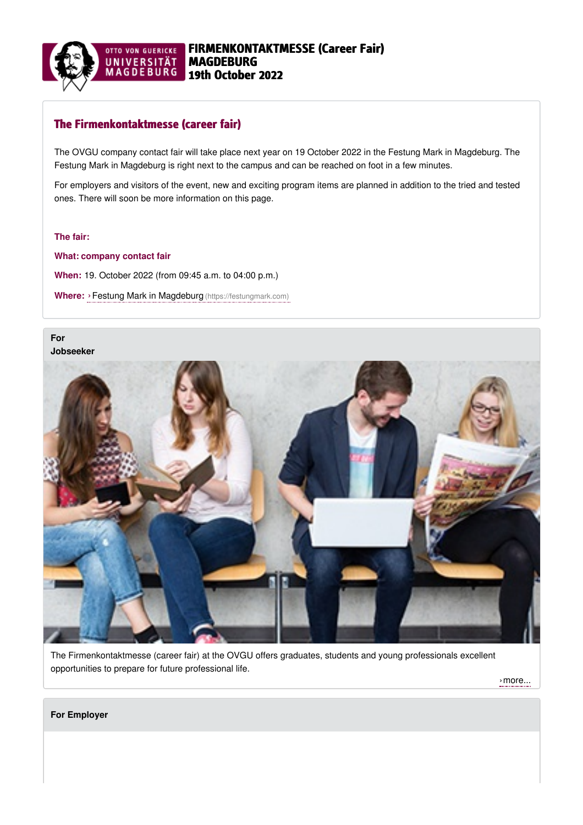

# The Firmenkontaktmesse (career fair)

The OVGU company contact fair will take place next year on 19 October 2022 in the Festung Mark in Magdeburg. The Festung Mark in Magdeburg is right next to the campus and can be reached on foot in a few minutes.

For employers and visitors of the event, new and exciting program items are planned in addition to the tried and tested ones. There will soon be more information on this page.

### **The fair:**

**What: company contact fair When:** 19. October 2022 (from 09:45 a.m. to 04:00 p.m.) **Where:** ›Festung Mark in Magdeburg [\(https://festungmark.com\)](https://festungmark.com)

## **For [Jobseeker](https://www.firmenkontaktmesse.ovgu.de/firmenkontaktmesse/en/Jobseeker.html)**



The Firmenkontaktmesse (career fair) at the OVGU offers graduates, students and young professionals excellent opportunities to prepare for future professional life.

[›more...](https://www.firmenkontaktmesse.ovgu.de/firmenkontaktmesse/en/Jobseeker.html)

#### **For [Employer](https://www.firmenkontaktmesse.ovgu.de/firmenkontaktmesse/en/Employer.html)**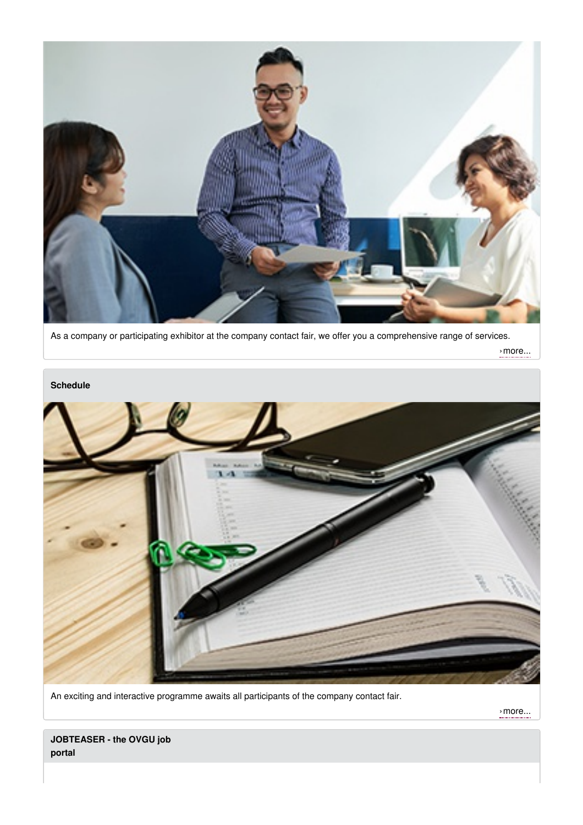

As a company or participating exhibitor at the company contact fair, we offer you a comprehensive range of services.

[›more...](https://www.firmenkontaktmesse.ovgu.de/firmenkontaktmesse/en/Employer.html)



An exciting and interactive programme awaits all participants of the company contact fair.

[›more...](https://www.firmenkontaktmesse.ovgu.de/firmenkontaktmesse/en/Schedule.html)

**JOBTEASER - the OVGU job portal**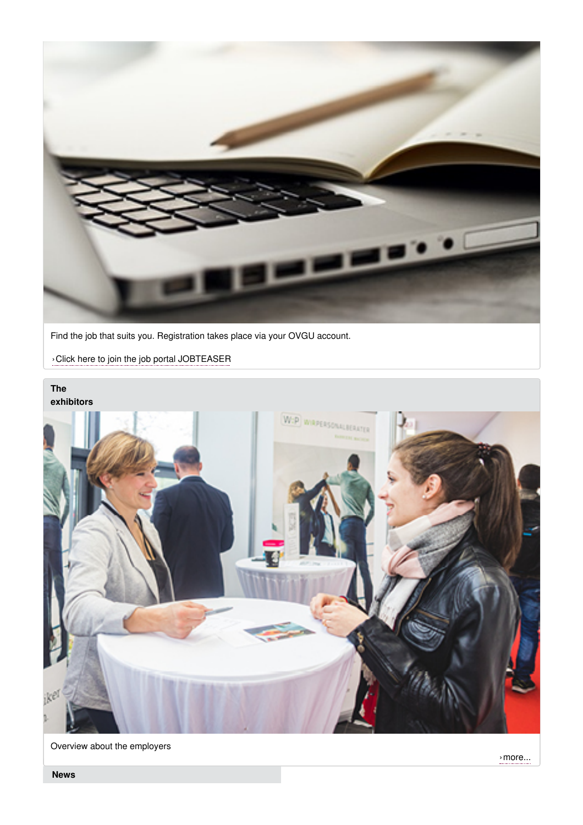

Find the job that suits you. Registration takes place via your OVGU account.

›Click here to join the job portal [JOBTEASER](https://ovgu.jobteaser.com/de/users/sign_in?back_to_after_login=%2F)

## **The [exhibitors](http://www.firmenkontaktmesse.ovgu.de/Die+Messe/Die+Aussteller.html)**



Overview about the employers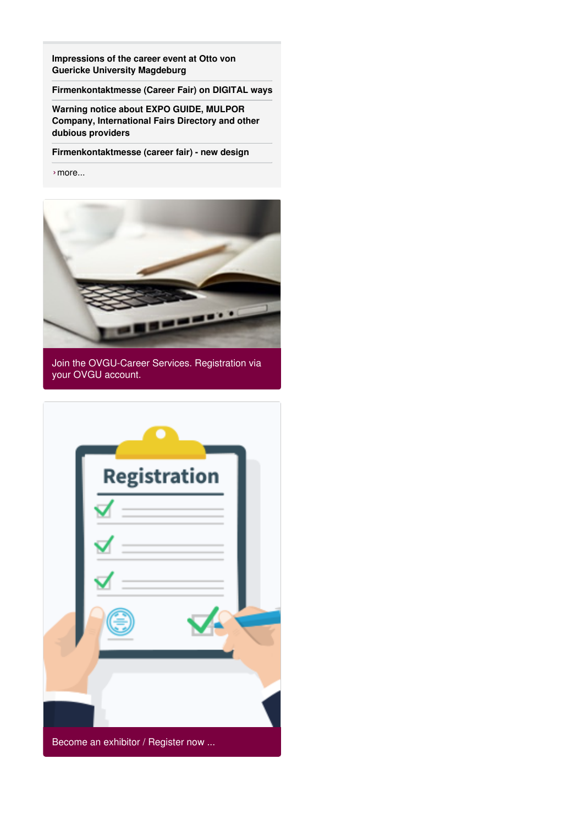**[Impressions](https://www.firmenkontaktmesse.ovgu.de/firmenkontaktmesse/en/News/That+was+the+Company+Contact+Fair+2021_+Impressions+and+more-p-716.html) of the career event at Otto von Guericke University Magdeburg**

**[Firmenkontaktmesse](https://www.firmenkontaktmesse.ovgu.de/firmenkontaktmesse/en/News/Firmenkontaktmesse+%28Career+Fair%29+on++DIGITAL+ways.html) (Career Fair) on DIGITAL ways**

**Warning notice about EXPO GUIDE, MULPOR Company, [International](https://www.firmenkontaktmesse.ovgu.de/firmenkontaktmesse/en/News/Warning+notice.html) Fairs Directory and other dubious providers**

**[Firmenkontaktmesse](https://www.firmenkontaktmesse.ovgu.de/firmenkontaktmesse/en/News/New+Design.html) (career fair) - new design**

›[more...](https://www.firmenkontaktmesse.ovgu.de/firmenkontaktmesse/en/News.html)



Join the OVGU-Career Services. Registration via your OVGU account.